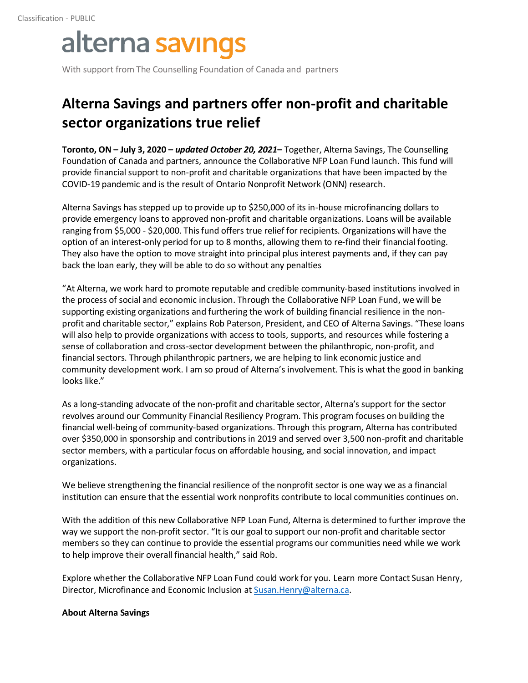## alterna savings

With support from The Counselling Foundation of Canada and partners

## **Alterna Savings and partners offer non-profit and charitable sector organizations true relief**

**Toronto, ON – July 3, 2020 –** *updated October 20, 2021***–** Together, Alterna Savings, The Counselling Foundation of Canada and partners, announce the Collaborative NFP Loan Fund launch. This fund will provide financial support to non-profit and charitable organizations that have been impacted by the COVID-19 pandemic and is the result of Ontario Nonprofit Network (ONN) research.

Alterna Savings has stepped up to provide up to \$250,000 of its in-house microfinancing dollars to provide emergency loans to approved non-profit and charitable organizations. Loans will be available ranging from \$5,000 - \$20,000. This fund offers true relief for recipients. Organizations will have the option of an interest-only period for up to 8 months, allowing them to re-find their financial footing. They also have the option to move straight into principal plus interest payments and, if they can pay back the loan early, they will be able to do so without any penalties

"At Alterna, we work hard to promote reputable and credible community-based institutions involved in the process of social and economic inclusion. Through the Collaborative NFP Loan Fund, we will be supporting existing organizations and furthering the work of building financial resilience in the nonprofit and charitable sector," explains Rob Paterson, President, and CEO of Alterna Savings. "These loans will also help to provide organizations with access to tools, supports, and resources while fostering a sense of collaboration and cross-sector development between the philanthropic, non-profit, and financial sectors. Through philanthropic partners, we are helping to link economic justice and community development work. I am so proud of Alterna's involvement. This is what the good in banking looks like."

As a long-standing advocate of the non-profit and charitable sector, Alterna's support for the sector revolves around our Community Financial Resiliency Program. This program focuses on building the financial well-being of community-based organizations. Through this program, Alterna has contributed over \$350,000 in sponsorship and contributions in 2019 and served over 3,500 non-profit and charitable sector members, with a particular focus on affordable housing, and social innovation, and impact organizations.

We believe strengthening the financial resilience of the nonprofit sector is one way we as a financial institution can ensure that the essential work nonprofits contribute to local communities continues on.

With the addition of this new Collaborative NFP Loan Fund, Alterna is determined to further improve the way we support the non-profit sector. "It is our goal to support our non-profit and charitable sector members so they can continue to provide the essential programs our communities need while we work to help improve their overall financial health," said Rob.

Explore whether the Collaborative NFP Loan Fund could work for you. Learn more Contact Susan Henry, Director, Microfinance and Economic Inclusion at **Susan.Henry@alterna.ca**.

## **About Alterna Savings**